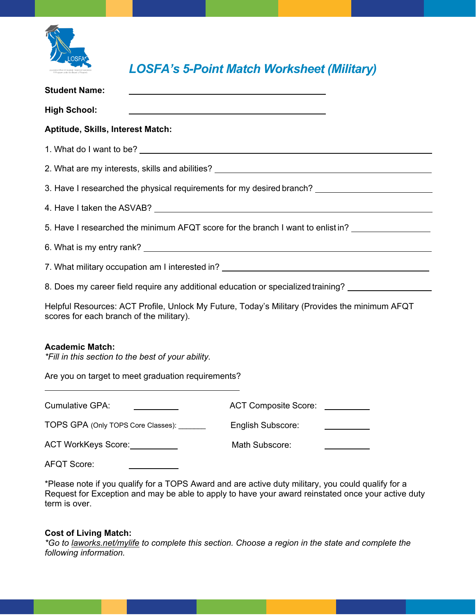

## *LOSFA's 5-Point Match Worksheet (Military)*

| <b>Student Name:</b>                                                                                                                                                                                                                 |                           |  |
|--------------------------------------------------------------------------------------------------------------------------------------------------------------------------------------------------------------------------------------|---------------------------|--|
| <b>High School:</b>                                                                                                                                                                                                                  |                           |  |
| Aptitude, Skills, Interest Match:                                                                                                                                                                                                    |                           |  |
| 1. What do I want to be?                                                                                                                                                                                                             |                           |  |
|                                                                                                                                                                                                                                      |                           |  |
| 3. Have I researched the physical requirements for my desired branch?                                                                                                                                                                |                           |  |
| 4. Have I taken the ASVAB? <u>Container and the set of the set of the set of the set of the set of the set of the set of the set of the set of the set of the set of the set of the set of the set of the set of the set of the </u> |                           |  |
| 5. Have I researched the minimum AFQT score for the branch I want to enlist in?                                                                                                                                                      |                           |  |
|                                                                                                                                                                                                                                      |                           |  |
| 7. What military occupation am I interested in? _________________________________                                                                                                                                                    |                           |  |
| 8. Does my career field require any additional education or specialized training?                                                                                                                                                    |                           |  |
| Helpful Resources: ACT Profile, Unlock My Future, Today's Military (Provides the minimum AFQT<br>scores for each branch of the military).                                                                                            |                           |  |
| <b>Academic Match:</b><br>*Fill in this section to the best of your ability.                                                                                                                                                         |                           |  |
| Are you on target to meet graduation requirements?                                                                                                                                                                                   |                           |  |
| <b>Cumulative GPA:</b>                                                                                                                                                                                                               | ACT Composite Score: \[\] |  |
| TOPS GPA (Only TOPS Core Classes): _______                                                                                                                                                                                           | English Subscore:         |  |
| ACT WorkKeys Score:                                                                                                                                                                                                                  | Math Subscore:            |  |

AFQT Score:

\*Please note if you qualify for a TOPS Award and are active duty military, you could qualify for a Request for Exception and may be able to apply to have your award reinstated once your active duty term is over.

## **Cost of Living Match:**

*\*Go to laworks.net/mylife to complete this section. Choose a region in the state and complete the following information.*